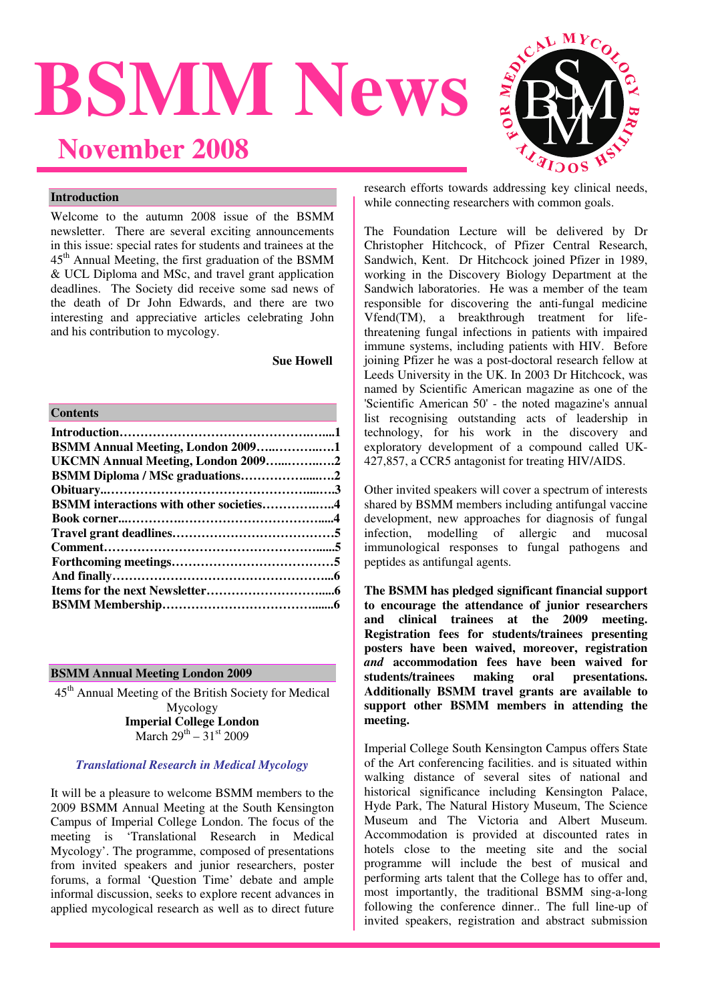# **BSMM News November 2008**



## **Introduction**

Welcome to the autumn 2008 issue of the BSMM newsletter. There are several exciting announcements in this issue: special rates for students and trainees at the 45th Annual Meeting, the first graduation of the BSMM & UCL Diploma and MSc, and travel grant application deadlines. The Society did receive some sad news of the death of Dr John Edwards, and there are two interesting and appreciative articles celebrating John and his contribution to mycology.

**Sue Howell** 

#### **Contents**

| <b>BSMM Annual Meeting, London 20091</b>       |  |
|------------------------------------------------|--|
| UKCMN Annual Meeting, London 20092             |  |
| BSMM Diploma / MSc graduations2                |  |
|                                                |  |
| <b>BSMM</b> interactions with other societies4 |  |
|                                                |  |
|                                                |  |
|                                                |  |
|                                                |  |
|                                                |  |
|                                                |  |
|                                                |  |
|                                                |  |

#### **BSMM Annual Meeting London 2009**

45<sup>th</sup> Annual Meeting of the British Society for Medical Mycology **Imperial College London**  March  $29^{th} - 31^{st}$  2009

#### *Translational Research in Medical Mycology*

It will be a pleasure to welcome BSMM members to the 2009 BSMM Annual Meeting at the South Kensington Campus of Imperial College London. The focus of the meeting is 'Translational Research in Medical Mycology'. The programme, composed of presentations from invited speakers and junior researchers, poster forums, a formal 'Question Time' debate and ample informal discussion, seeks to explore recent advances in applied mycological research as well as to direct future

research efforts towards addressing key clinical needs, while connecting researchers with common goals.

The Foundation Lecture will be delivered by Dr Christopher Hitchcock, of Pfizer Central Research, Sandwich, Kent. Dr Hitchcock joined Pfizer in 1989, working in the Discovery Biology Department at the Sandwich laboratories. He was a member of the team responsible for discovering the anti-fungal medicine Vfend(TM), a breakthrough treatment for lifethreatening fungal infections in patients with impaired immune systems, including patients with HIV. Before joining Pfizer he was a post-doctoral research fellow at Leeds University in the UK. In 2003 Dr Hitchcock, was named by Scientific American magazine as one of the 'Scientific American 50' - the noted magazine's annual list recognising outstanding acts of leadership in technology, for his work in the discovery and exploratory development of a compound called UK-427,857, a CCR5 antagonist for treating HIV/AIDS.

Other invited speakers will cover a spectrum of interests shared by BSMM members including antifungal vaccine development, new approaches for diagnosis of fungal infection, modelling of allergic and mucosal immunological responses to fungal pathogens and peptides as antifungal agents.

**The BSMM has pledged significant financial support to encourage the attendance of junior researchers and clinical trainees at the 2009 meeting. Registration fees for students/trainees presenting posters have been waived, moreover, registration**  *and* **accommodation fees have been waived for**  students/trainees making oral **Additionally BSMM travel grants are available to support other BSMM members in attending the meeting.** 

Imperial College South Kensington Campus offers State of the Art conferencing facilities. and is situated within walking distance of several sites of national and historical significance including Kensington Palace, Hyde Park, The Natural History Museum, The Science Museum and The Victoria and Albert Museum. Accommodation is provided at discounted rates in hotels close to the meeting site and the social programme will include the best of musical and performing arts talent that the College has to offer and, most importantly, the traditional BSMM sing-a-long following the conference dinner.. The full line-up of invited speakers, registration and abstract submission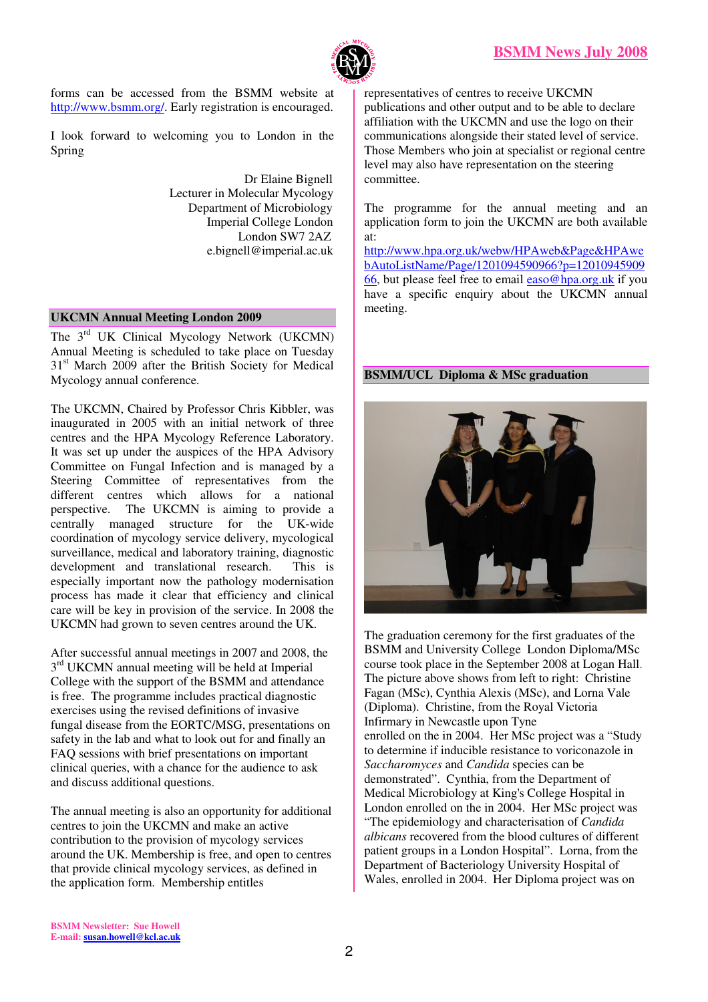

forms can be accessed from the BSMM website at http://www.bsmm.org/. Early registration is encouraged.

I look forward to welcoming you to London in the Spring

> Dr Elaine Bignell Lecturer in Molecular Mycology Department of Microbiology Imperial College London London SW7 2AZ e.bignell@imperial.ac.uk

## **UKCMN Annual Meeting London 2009**

The 3<sup>rd</sup> UK Clinical Mycology Network (UKCMN) Annual Meeting is scheduled to take place on Tuesday 31<sup>st</sup> March 2009 after the British Society for Medical Mycology annual conference.

The UKCMN, Chaired by Professor Chris Kibbler, was inaugurated in 2005 with an initial network of three centres and the HPA Mycology Reference Laboratory. It was set up under the auspices of the HPA Advisory Committee on Fungal Infection and is managed by a Steering Committee of representatives from the different centres which allows for a national perspective. The UKCMN is aiming to provide a centrally managed structure for the UK-wide coordination of mycology service delivery, mycological surveillance, medical and laboratory training, diagnostic development and translational research. This is especially important now the pathology modernisation process has made it clear that efficiency and clinical care will be key in provision of the service. In 2008 the UKCMN had grown to seven centres around the UK.

After successful annual meetings in 2007 and 2008, the  $3<sup>rd</sup> UKCMN$  annual meeting will be held at Imperial College with the support of the BSMM and attendance is free. The programme includes practical diagnostic exercises using the revised definitions of invasive fungal disease from the EORTC/MSG, presentations on safety in the lab and what to look out for and finally an FAQ sessions with brief presentations on important clinical queries, with a chance for the audience to ask and discuss additional questions.

The annual meeting is also an opportunity for additional centres to join the UKCMN and make an active contribution to the provision of mycology services around the UK. Membership is free, and open to centres that provide clinical mycology services, as defined in the application form. Membership entitles

representatives of centres to receive UKCMN publications and other output and to be able to declare affiliation with the UKCMN and use the logo on their communications alongside their stated level of service. Those Members who join at specialist or regional centre level may also have representation on the steering committee.

The programme for the annual meeting and an application form to join the UKCMN are both available at:

http://www.hpa.org.uk/webw/HPAweb&Page&HPAwe bAutoListName/Page/1201094590966?p=12010945909 66, but please feel free to email easo@hpa.org.uk if you have a specific enquiry about the UKCMN annual meeting.

## **BSMM/UCL Diploma & MSc graduation**



The graduation ceremony for the first graduates of the BSMM and University College London Diploma/MSc course took place in the September 2008 at Logan Hall. The picture above shows from left to right: Christine Fagan (MSc), Cynthia Alexis (MSc), and Lorna Vale (Diploma). Christine, from the Royal Victoria Infirmary in Newcastle upon Tyne enrolled on the in 2004. Her MSc project was a "Study to determine if inducible resistance to voriconazole in *Saccharomyces* and *Candida* species can be demonstrated". Cynthia, from the Department of Medical Microbiology at King's College Hospital in London enrolled on the in 2004. Her MSc project was "The epidemiology and characterisation of *Candida albicans* recovered from the blood cultures of different patient groups in a London Hospital". Lorna, from the Department of Bacteriology University Hospital of Wales, enrolled in 2004. Her Diploma project was on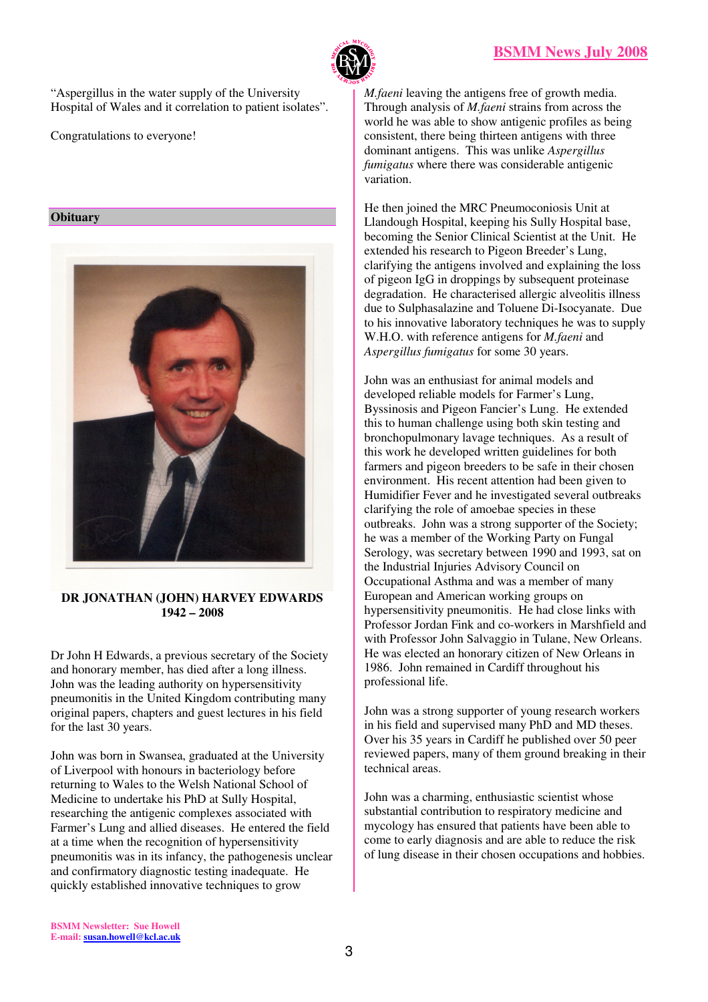

"Aspergillus in the water supply of the University Hospital of Wales and it correlation to patient isolates".

Congratulations to everyone!

**Obituary** 



## **DR JONATHAN (JOHN) HARVEY EDWARDS 1942 – 2008**

Dr John H Edwards, a previous secretary of the Society and honorary member, has died after a long illness. John was the leading authority on hypersensitivity pneumonitis in the United Kingdom contributing many original papers, chapters and guest lectures in his field for the last 30 years.

John was born in Swansea, graduated at the University of Liverpool with honours in bacteriology before returning to Wales to the Welsh National School of Medicine to undertake his PhD at Sully Hospital, researching the antigenic complexes associated with Farmer's Lung and allied diseases. He entered the field at a time when the recognition of hypersensitivity pneumonitis was in its infancy, the pathogenesis unclear and confirmatory diagnostic testing inadequate. He quickly established innovative techniques to grow

*M.faeni* leaving the antigens free of growth media. Through analysis of *M.faeni* strains from across the world he was able to show antigenic profiles as being consistent, there being thirteen antigens with three dominant antigens. This was unlike *Aspergillus fumigatus* where there was considerable antigenic variation.

He then joined the MRC Pneumoconiosis Unit at Llandough Hospital, keeping his Sully Hospital base, becoming the Senior Clinical Scientist at the Unit. He extended his research to Pigeon Breeder's Lung, clarifying the antigens involved and explaining the loss of pigeon IgG in droppings by subsequent proteinase degradation. He characterised allergic alveolitis illness due to Sulphasalazine and Toluene Di-Isocyanate. Due to his innovative laboratory techniques he was to supply W.H.O. with reference antigens for *M.faeni* and *Aspergillus fumigatus* for some 30 years.

John was an enthusiast for animal models and developed reliable models for Farmer's Lung, Byssinosis and Pigeon Fancier's Lung. He extended this to human challenge using both skin testing and bronchopulmonary lavage techniques. As a result of this work he developed written guidelines for both farmers and pigeon breeders to be safe in their chosen environment. His recent attention had been given to Humidifier Fever and he investigated several outbreaks clarifying the role of amoebae species in these outbreaks. John was a strong supporter of the Society; he was a member of the Working Party on Fungal Serology, was secretary between 1990 and 1993, sat on the Industrial Injuries Advisory Council on Occupational Asthma and was a member of many European and American working groups on hypersensitivity pneumonitis. He had close links with Professor Jordan Fink and co-workers in Marshfield and with Professor John Salvaggio in Tulane, New Orleans. He was elected an honorary citizen of New Orleans in 1986. John remained in Cardiff throughout his professional life.

John was a strong supporter of young research workers in his field and supervised many PhD and MD theses. Over his 35 years in Cardiff he published over 50 peer reviewed papers, many of them ground breaking in their technical areas.

John was a charming, enthusiastic scientist whose substantial contribution to respiratory medicine and mycology has ensured that patients have been able to come to early diagnosis and are able to reduce the risk of lung disease in their chosen occupations and hobbies.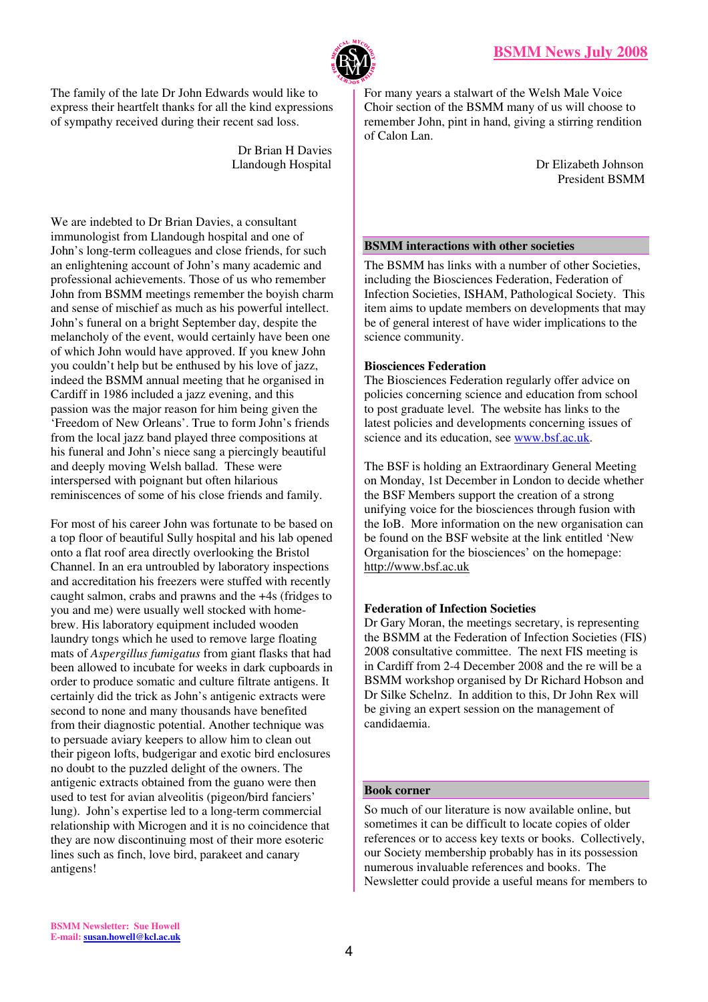

The family of the late Dr John Edwards would like to express their heartfelt thanks for all the kind expressions of sympathy received during their recent sad loss.

> Dr Brian H Davies Llandough Hospital

We are indebted to Dr Brian Davies, a consultant immunologist from Llandough hospital and one of John's long-term colleagues and close friends, for such an enlightening account of John's many academic and professional achievements. Those of us who remember John from BSMM meetings remember the boyish charm and sense of mischief as much as his powerful intellect. John's funeral on a bright September day, despite the melancholy of the event, would certainly have been one of which John would have approved. If you knew John you couldn't help but be enthused by his love of jazz, indeed the BSMM annual meeting that he organised in Cardiff in 1986 included a jazz evening, and this passion was the major reason for him being given the 'Freedom of New Orleans'. True to form John's friends from the local jazz band played three compositions at his funeral and John's niece sang a piercingly beautiful and deeply moving Welsh ballad. These were interspersed with poignant but often hilarious reminiscences of some of his close friends and family.

For most of his career John was fortunate to be based on a top floor of beautiful Sully hospital and his lab opened onto a flat roof area directly overlooking the Bristol Channel. In an era untroubled by laboratory inspections and accreditation his freezers were stuffed with recently caught salmon, crabs and prawns and the +4s (fridges to you and me) were usually well stocked with homebrew. His laboratory equipment included wooden laundry tongs which he used to remove large floating mats of *Aspergillus fumigatus* from giant flasks that had been allowed to incubate for weeks in dark cupboards in order to produce somatic and culture filtrate antigens. It certainly did the trick as John's antigenic extracts were second to none and many thousands have benefited from their diagnostic potential. Another technique was to persuade aviary keepers to allow him to clean out their pigeon lofts, budgerigar and exotic bird enclosures no doubt to the puzzled delight of the owners. The antigenic extracts obtained from the guano were then used to test for avian alveolitis (pigeon/bird fanciers' lung). John's expertise led to a long-term commercial relationship with Microgen and it is no coincidence that they are now discontinuing most of their more esoteric lines such as finch, love bird, parakeet and canary antigens!

For many years a stalwart of the Welsh Male Voice Choir section of the BSMM many of us will choose to remember John, pint in hand, giving a stirring rendition of Calon Lan.

> Dr Elizabeth Johnson President BSMM

## **BSMM interactions with other societies**

The BSMM has links with a number of other Societies, including the Biosciences Federation, Federation of Infection Societies, ISHAM, Pathological Society. This item aims to update members on developments that may be of general interest of have wider implications to the science community.

## **Biosciences Federation**

The Biosciences Federation regularly offer advice on policies concerning science and education from school to post graduate level. The website has links to the latest policies and developments concerning issues of science and its education, see www.bsf.ac.uk.

The BSF is holding an Extraordinary General Meeting on Monday, 1st December in London to decide whether the BSF Members support the creation of a strong unifying voice for the biosciences through fusion with the IoB. More information on the new organisation can be found on the BSF website at the link entitled 'New Organisation for the biosciences' on the homepage: http://www.bsf.ac.uk

# **Federation of Infection Societies**

Dr Gary Moran, the meetings secretary, is representing the BSMM at the Federation of Infection Societies (FIS) 2008 consultative committee. The next FIS meeting is in Cardiff from 2-4 December 2008 and the re will be a BSMM workshop organised by Dr Richard Hobson and Dr Silke Schelnz. In addition to this, Dr John Rex will be giving an expert session on the management of candidaemia.

# **Book corner**

So much of our literature is now available online, but sometimes it can be difficult to locate copies of older references or to access key texts or books. Collectively, our Society membership probably has in its possession numerous invaluable references and books. The Newsletter could provide a useful means for members to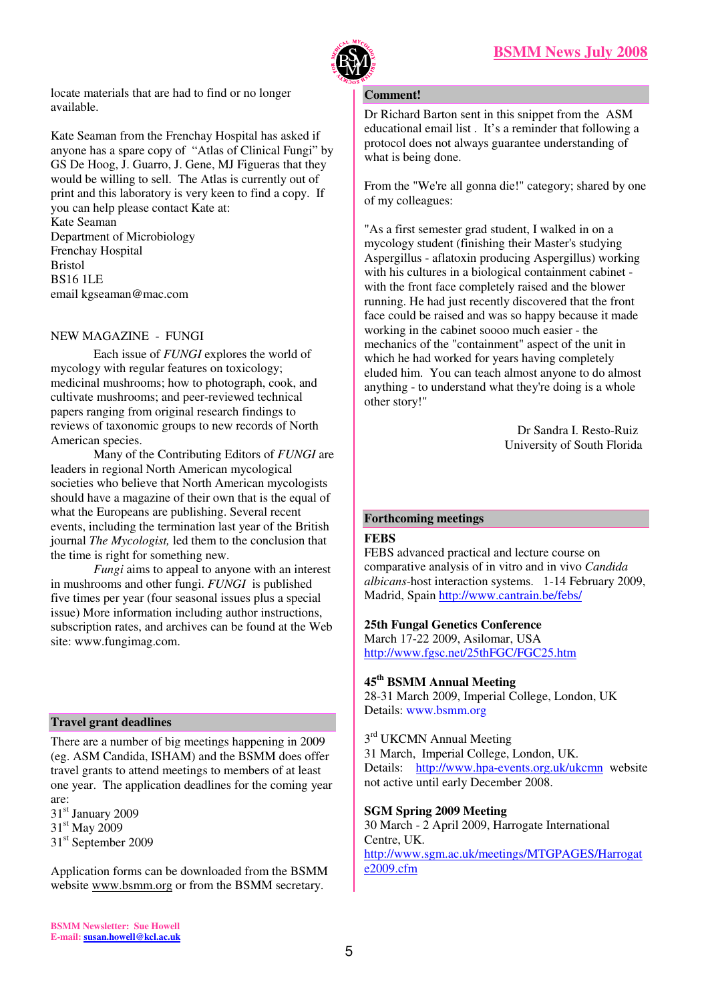

locate materials that are had to find or no longer available.

Kate Seaman from the Frenchay Hospital has asked if anyone has a spare copy of "Atlas of Clinical Fungi" by GS De Hoog, J. Guarro, J. Gene, MJ Figueras that they would be willing to sell. The Atlas is currently out of print and this laboratory is very keen to find a copy. If you can help please contact Kate at: Kate Seaman Department of Microbiology Frenchay Hospital Bristol BS16 1LE email kgseaman@mac.com

# NEW MAGAZINE - FUNGI

Each issue of *FUNGI* explores the world of mycology with regular features on toxicology; medicinal mushrooms; how to photograph, cook, and cultivate mushrooms; and peer-reviewed technical papers ranging from original research findings to reviews of taxonomic groups to new records of North American species.

Many of the Contributing Editors of *FUNGI* are leaders in regional North American mycological societies who believe that North American mycologists should have a magazine of their own that is the equal of what the Europeans are publishing. Several recent events, including the termination last year of the British journal *The Mycologist,* led them to the conclusion that the time is right for something new.

*Fungi* aims to appeal to anyone with an interest in mushrooms and other fungi. *FUNGI* is published five times per year (four seasonal issues plus a special issue) More information including author instructions, subscription rates, and archives can be found at the Web site: www.fungimag.com.

## **Travel grant deadlines**

There are a number of big meetings happening in 2009 (eg. ASM Candida, ISHAM) and the BSMM does offer travel grants to attend meetings to members of at least one year. The application deadlines for the coming year are:

31<sup>st</sup> January 2009 31<sup>st</sup> May 2009 31<sup>st</sup> September 2009

Application forms can be downloaded from the BSMM website www.bsmm.org or from the BSMM secretary.

#### **Comment!**

Dr Richard Barton sent in this snippet from the ASM educational email list . It's a reminder that following a protocol does not always guarantee understanding of what is being done.

From the "We're all gonna die!" category; shared by one of my colleagues:

"As a first semester grad student, I walked in on a mycology student (finishing their Master's studying Aspergillus - aflatoxin producing Aspergillus) working with his cultures in a biological containment cabinet with the front face completely raised and the blower running. He had just recently discovered that the front face could be raised and was so happy because it made working in the cabinet soooo much easier - the mechanics of the "containment" aspect of the unit in which he had worked for years having completely eluded him. You can teach almost anyone to do almost anything - to understand what they're doing is a whole other story!"

> Dr Sandra I. Resto-Ruiz University of South Florida

# **Forthcoming meetings**

# **FEBS**

FEBS advanced practical and lecture course on comparative analysis of in vitro and in vivo *Candida albicans*-host interaction systems. 1-14 February 2009, Madrid, Spain http://www.cantrain.be/febs/

## **25th Fungal Genetics Conference**

March 17-22 2009, Asilomar, USA http://www.fgsc.net/25thFGC/FGC25.htm

# **45th BSMM Annual Meeting**

28-31 March 2009, Imperial College, London, UK Details: www.bsmm.org

3<sup>rd</sup> UKCMN Annual Meeting 31 March, Imperial College, London, UK. Details: http://www.hpa-events.org.uk/ukcmn website not active until early December 2008.

**SGM Spring 2009 Meeting**

30 March - 2 April 2009, Harrogate International Centre, UK. http://www.sgm.ac.uk/meetings/MTGPAGES/Harrogat e2009.cfm